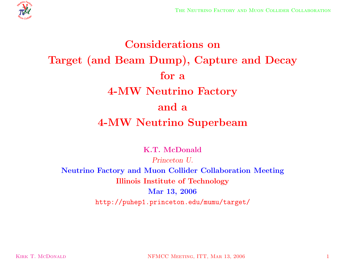

# **Considerations on Target (and Beam Dump), Capture and Decay for <sup>a</sup> 4-MW Neutrino Factory and <sup>a</sup> 4-MW Neutrino Superbeam**

**K.T. McDonald**

*Princeton U.* **Neutrino Factory and Muon Collider Collaboration Meeting Illinois Institute of Technology Mar 13, 2006** http://puhep1.princeton.edu/mumu/target/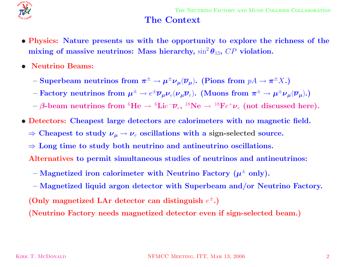

#### **The Context**

- Physics: Nature presents us with the opportunity to explore the richness of the  $\mathbf{mixing}$  of  $\mathbf{massive}\text{ }\mathbf{neutrinos:}\text{ Mass}$   $\mathbf{hierarchy,}\sin^2\theta_{13},\text{ }CP\text{ violation.}$
- *•* **Neutrino Beams:**
	- $-$  **Superbeam neutrinos from**  $\pi^{\pm} \to \mu^{\pm} \nu_{\mu} (\overline{\nu}_{\mu}).$  **(Pions from**  $pA \to \pi^{\pm} X.$ **)**
	- $-$  Factory neutrinos from  $\bm{\mu}^\pm \to e^\pm \overline{\bm{\nu}}_{\bm{\mu}} \bm{\nu}_e (\bm{\nu}_{\bm{\mu}} \overline{\bm{\nu}}_e)$ . (Muons from  $\bm{\pi}^\pm \to \bm{\mu}^\pm \bm{\nu}_{\bm{\mu}} (\overline{\bm{\nu}}_{\bm{\mu}})$ .)
	- $\rightarrow$   $\beta$ -beam neutrinos from  ${}^6\textrm{He} \rightarrow {}^6\textrm{Lie}^-\overline{\nu}_e,$   ${}^{18}\textrm{Ne} \rightarrow {}^{18}\textrm{Fe}^+\nu_e$  (not discussed here).
- *•* **Detectors: Cheapest large detectors are calorimeters with no magnetic field.**
	- $\Rightarrow$  Cheapest to study  $\nu_\mu \rightarrow \nu_e$  oscillations with a sign-selected source.
	- <sup>⇒</sup> **Long time to study both neutrino and antineutrino oscillations.**
	- **Alternatives to permit simultaneous studies of neutrinos and antineutrinos:**
	- $-$  **Magnetized iron calorimeter with Neutrino Factory**  $(\mu^{\pm}$  **only).**
	- **– Magnetized liquid argon detector with Superbeam and/or Neutrino Factory.**  $($  Only magnetized LAr detector can distinguish  $e^{\pm}$ . $)$

**(Neutrino Factory needs magnetized detector even if sign-selected beam.)**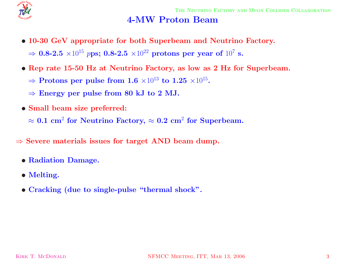

#### **4-MW Proton Beam**

- *•* **10-30 GeV appropriate for both Superbeam and Neutrino Factory.**  $\Rightarrow$  **0.8-2.5**  $\times 10^{15}$   $p$ ps; **0.8-2.5**  $\times 10^{22}$  protons per year of  $10^{7}$  s.
- Rep rate 15-50 Hz at Neutrino Factory, as low as 2 Hz for Superbeam.
	- $\Rightarrow$  **Protons per pulse from 1.6**  $\times10^{13}$  to  $1.25$   $\times10^{15}$ .
	- $\Rightarrow$  **Energy** per pulse from 80 kJ to 2 MJ.
- *•* **Small beam size preferred:**

 $\approx 0.1 \text{ cm}^2 \text{ for Neutrino } \text{Factory, } \approx 0.2 \text{ cm}^2 \text{ for Superbeam.}$ 

- <sup>⇒</sup> **Severe materials issues for target AND beam dump.**
	- *•* **Radiation Damage.**
	- *•* **Melting.**
	- *•* **Cracking (due to single-pulse "thermal shock".**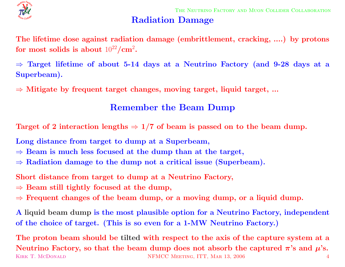

#### **Radiation Damage**

The lifetime dose against radiation damage (embrittlement, cracking, ....) by protons  ${\bf f}$  **or**  ${\bf m}{\bf o}{\bf s}$   ${\bf t}$   ${\bf s}$   ${\bf a}{\bf b}{\bf o}{\bf u}{\bf t}$   $10^{22}/{\bf cm}^2$ .

 $\Rightarrow$  Target lifetime of about 5-14 days at a Neutrino Factory (and 9-28 days at a **Superbeam).**

<sup>⇒</sup> **Mitigate by frequent target changes, moving target, liquid target, ...**

# **Remember the Beam Dump**

Target of 2 interaction lengths  $\Rightarrow$  1/7 of beam is passed on to the beam dump.

**Long distance from target to dump at <sup>a</sup> Superbeam,**

- $\Rightarrow$  **Beam** is much less focused at the dump than at the target,
- <sup>⇒</sup> **Radiation damage to the dump not <sup>a</sup> critical issue (Superbeam).**

**Short distance from target to dump at <sup>a</sup> Neutrino Factory,**

- $\Rightarrow$  **Beam** still tightly focused at the dump,
- $\Rightarrow$  Frequent changes of the beam dump, or a moving dump, or a liquid dump.

A liquid beam dump is the most plausible option for a Neutrino Factory, independent of the choice of target. (This is so even for a 1-MW Neutrino Factory.)

The proton beam should be tilted with respect to the axis of the capture system at a Neutrino Factory, so that the beam dump does not absorb the captured  $\pi$ 's and  $\mu$ 's. KIRK T. MCDONALD NEMCC MEETING, ITT, MAR 13, 2006 4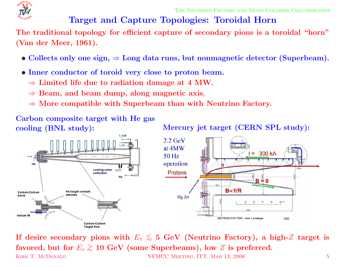

THE NEUTRINO FACTORY AND MUON COLLIDER COLLABORATION

# **Target and Capture Topologies: Toroidal Horn**

The traditional topology for efficient capture of secondary pions is a toroidal "horn" **(Van der Meer, 1961).**

- $\bullet$  Collects only one sign,  $\Rightarrow$  Long data runs, but nonmagnetic detector (Superbeam).
- *•* **Inner conductor of toroid very close to proton beam.**
	- $\Rightarrow$  Limited life due to radiation damage at 4 MW.
	- <sup>⇒</sup> **Beam, and beam dump, along magnetic axis.**
	- <sup>⇒</sup> **More compatible with Superbeam than with Neutrino Factory.**

**Carbon composite target with He gas**

**cooling** (BNL study): Mercury jet target (CERN SPL study):



If desire secondary pions with  $E_\pi \lesssim$  5 GeV (Neutrino Factory), a high-Z target is  ${\bf f}$  avored, but for  $E_\pi\gtrsim10\,{\, {\rm GeV}}$  (some Superbeams), low  $Z$  is preferred. KIRK T. MCDONALD NEMCC MEETING, ITT, MAR 13, 2006 5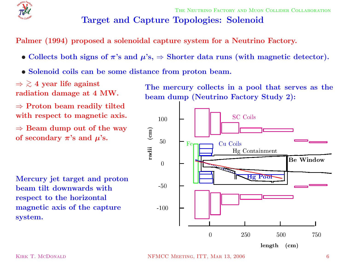![](_page_5_Picture_0.jpeg)

# **Target and Capture Topologies: Solenoid**

**Palmer (1994) proposed <sup>a</sup> solenoidal capture system for <sup>a</sup> Neutrino Factory.**

- Collects both signs of  $\pi$ 's and  $\mu$ 's,  $\Rightarrow$  Shorter data runs (with magnetic detector).
- *•* **Solenoid coils can be some distance from proton beam.**

⇒ > ∼ **4 year life against radiation damage at 4 MW.**

<sup>⇒</sup> **Proton beam readily tilted with respect to magnetic axis.**

 $\Rightarrow$  **Beam dump** out of the way  $\mathbf{p}$  **of** secondary  $\boldsymbol{\pi}$ 's and  $\boldsymbol{\mu}$ 's.

**Mercury jet target and proton beam tilt downwards with respect to the horizontal magnetic axis of the capture system.**

**The mercury collects in <sup>a</sup> pool that serves as the beam dump (Neutrino Factory Study 2):**

![](_page_5_Figure_11.jpeg)

KIRK T. MCDONALD NEMCC MEETING, ITT, MAR 13, 2006 6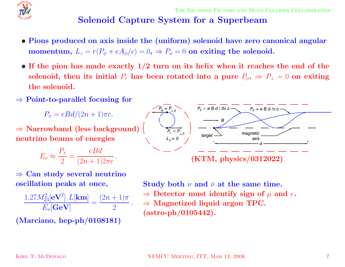![](_page_6_Picture_0.jpeg)

# **Solenoid Capture System for <sup>a</sup> Superbeam**

- Pions produced on axis inside the (uniform) solenoid have zero canonical angular  $\bf{momentum},\ L_z=r(P_\phi+eA_\phi/c)=0,\ \Rightarrow P_\phi=0\,\ {\bf on\,\, exiting\,\,the\,\,solenoid.}$
- If the pion has made exactly  $1/2$  turn on its helix when it reaches the end of the solenoid, then its initial  $P_r$  has been rotated into a pure  $P_\phi, \, \Rightarrow \, P_\bot = 0$  on exiting **the solenoid.**
- <sup>⇒</sup> **Point-to-parallel focusing for**

 $P_\pi=eBd/(2n+1)\pi c.$ 

<sup>⇒</sup> **Narrowband (less background) neutrino beams of energies**

$$
E_{\nu} \approx \frac{P_{\pi}}{2} = \frac{eBd}{(2n+1)2\pi c}.
$$

![](_page_6_Figure_9.jpeg)

$$
\frac{1.27M_{23}^2[\mathbf{eV}^2] L[\mathbf{km}]}{E_{\nu}[\mathbf{GeV}]} = \frac{(2n+1)\pi}{2}.
$$

**(Marciano, hep-ph/0108181)**

![](_page_6_Figure_12.jpeg)

 ${\bf Study\ both\ \ \nu\ and\ \ \bar\nu\ at\ the\ same\ time.}$  $\Rightarrow$  Detector must identify sign of  $\mu$  and  $e$ . <sup>⇒</sup> **Magnetized liquid argon TPC. (astro-ph/0105442).**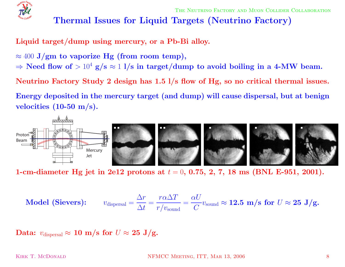![](_page_7_Picture_0.jpeg)

# **Thermal Issues for Liquid Targets (Neutrino Factory)**

**Liquid target/dump using mercury, or <sup>a</sup> Pb-Bi alloy.**

- $\approx 400$   $\mathrm{J}/\mathrm{gm}$  to vaporize  $\mathrm{Hg}$  (from room temp),
- $\Rightarrow$  Need flow of  $>10^4$  g/s  $\approx$  1 l/s in target/dump to avoid boiling in a 4-MW beam.

Neutrino Factory Study 2 design has  $1.5$   $1/s$  flow of Hg, so no critical thermal issues.

Energy deposited in the mercury target (and dump) will cause dispersal, but at benign **velocities (10-50 m/s).**

![](_page_7_Figure_8.jpeg)

1-cm-diameter Hg jet in 2e12 protons at  $t = 0, \, 0.75, \, 2, \, 7, \, 18 \, \, \mathrm{ms}$  (BNL E-951, 2001).

$$
\textbf{Model (Sieves):} \qquad v_{\text{dispersal}} = \frac{\Delta r}{\Delta t} = \frac{r\alpha\Delta T}{r/v_{\text{sound}}} = \frac{\alpha U}{C} v_{\text{sound}} \approx 12.5 \, \text{m/s for } U \approx 25 \, \text{J/g.}
$$

 $\mathbf{Data:}~~v_{\text{dispersal}} \approx \mathbf{10}~\mathbf{m/s}~\mathbf{for}~U \approx \mathbf{25}~\mathbf{J/g}.$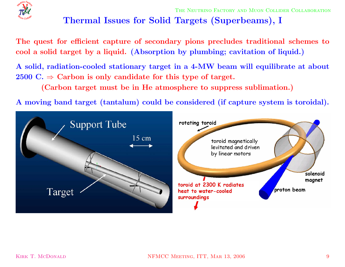![](_page_8_Picture_0.jpeg)

# **Thermal Issues for Solid Targets (Superbeams), <sup>I</sup>**

The quest for efficient capture of secondary pions precludes traditional schemes to cool a solid target by a liquid. (Absorption by plumbing; cavitation of liquid.)

A solid, radiation-cooled stationary target in a 4-MW beam will equilibrate at about  $2500 \text{ C.} \Rightarrow \text{ Carbon is only candidate for this type of target.}$ 

**(Carbon target must be in He atmosphere to suppress sublimation.)**

A moving band target (tantalum) could be considered (if capture system is toroidal).

![](_page_8_Figure_7.jpeg)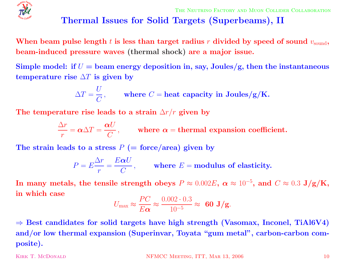![](_page_9_Picture_0.jpeg)

# **Thermal Issues for Solid Targets (Superbeams), II**

When beam pulse length  $t$  is less than target radius  $r$  divided by speed of sound  $v_{\rm sound},$ **beam-induced pressure waves (thermal shock) are <sup>a</sup> major issue.**

Simple model: if  $U=$  beam energy deposition in, say, Joules/g, then the instantaneous  ${\bf t}$  **emperature**  ${\bf r}$  **ise**  $\Delta T$  **is given by** 

$$
\Delta T = \frac{U}{C}, \quad \text{where } C = \text{heat capacity in Joules/g/K.}
$$

The <code>temperature</code> rise leads to a strain  $\Delta r/r$  given by

$$
\frac{\Delta r}{r} = \alpha \Delta T = \frac{\alpha U}{C},
$$
 where  $\alpha$  = thermal expansion coefficient.

 $\bf{The \ strain \ leads \ to \ a \ stress \ } P \ (= \rm force/area) \ given \ by$ 

$$
P = E \frac{\Delta r}{r} = \frac{E \alpha U}{C},
$$
 where  $E$  = modulus of elasticity.

 ${\bf In\ many\ metals,\ the\ tensile\ strength\ obeys\ } P \approx 0.002E,\ \alpha \approx 10^{-5},\ {\bf and}\ \ C \approx 0.3\ {\bf J/g/K,}$ **in which case**

$$
U_{\text{max}} \approx \frac{PC}{E\alpha} \approx \frac{0.002 \cdot 0.3}{10^{-5}} \approx 60 \text{ J/g}.
$$

 $\Rightarrow$  Best candidates for solid targets have high strength (Vasomax, Inconel, TiAl6V4) **and/or low thermal expansion (Superinvar, Toyata "gum metal", carbon-carbon composite).**

KIRK T. MCDONALD NEMCC MEETING, ITT, MAR 13, 2006 10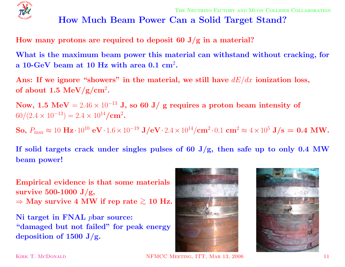![](_page_10_Picture_0.jpeg)

# **How Much Beam Power Can <sup>a</sup> Solid Target Stand?**

**How many protons are required to deposit <sup>60</sup> J/g in <sup>a</sup> material?**

What is the maximum beam power this material can withstand without cracking, for **<sup>a</sup> 10-GeV beam at 10 Hz with area 0.1 cm** 2**.**

Ans: If we ignore "showers" in the material, we still have  $dE/dx$  ionization loss,  ${\bf of~about~1.5~MeV/g/cm^2}.$ 

 ${\bf Now,\ 1.5\,\ MeV} = 2.46\times 10^{-13}$  J, so  $60$  J/ g requires a proton beam intensity of  $60/(2.4 \times 10^{-13}) = 2.4 \times 10^{14}/\text{cm}^2$ .

 ${\bf So,\ P_{\max}\approx10\ {\bf Hz}\cdot10^{10}\ {\bf eV}\cdot1.6\times10^{-19}\ {\bf J/eV}\cdot2.4\times10^{14}/{\bf cm}^2\cdot0.1\ {\bf cm}^2\approx4\times10^5\ {\bf J/s}=\ {\bf 0.4\ MW}.$ 

If solid targets crack under singles pulses of 60 J/g, then safe up to only 0.4 MW **beam power!**

**Empirical evidence is that some materials survive 500-1000 J/g,**  $\Rightarrow$  May survive 4 MW if rep rate  $\gtrsim 10$  Hz.

**Ni target in FNAL** p**bar source: "damaged but not failed" for peak energy deposition of <sup>1500</sup> J/g.**

![](_page_10_Picture_11.jpeg)

![](_page_10_Picture_12.jpeg)

KIRK T. MCDONALD NEMCC MEETING, ITT, MAR 13, 2006 11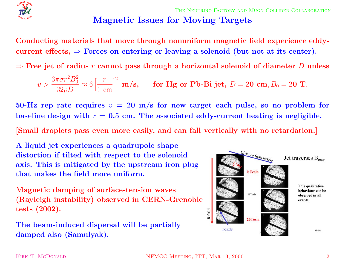![](_page_11_Picture_0.jpeg)

THE NEUTRINO FACTORY AND MUON COLLIDER COLLABORATION **Magnetic Issues for Moving Targets**

**Conducting materials that move through nonuniform magnetic field experience eddy-** $\text{current effects,} \Rightarrow \text{Forces on entering or leaving a solenoid (but not at its center).}$ 

 $\Rightarrow$  Free jet of radius  $r$  cannot pass through a horizontal solenoid of diameter  $D$  unless

$$
v > \frac{3\pi\sigma r^2B_0^2}{32\rho D} \approx 6\left[\frac{r}{1 \text{ cm}}\right]^2 \text{ m/s}, \quad \text{for Hg or Pb-Bi jet, } D = 20 \text{ cm}, B_0 = 20 \text{ T}.
$$

 $50\text{-}\mathrm{Hz}$  rep rate requires  $v\,=\,20\,$  m/s for new target each pulse, so no problem for baseline design with  $r = 0.5$  cm. The associated eddy-current heating is negligible.

[Small droplets pass even more easily, and can fall vertically with no retardation.]

**A liquid jet experiences <sup>a</sup> quadrupole shape distortion if tilted with respect to the solenoid axis. This is mitigated by the upstream iron plug that makes the field more uniform.**

**Magnetic damping of surface-tension waves (Rayleigh instability) observed in CERN-Grenoble tests (2002).**

**The beam-induced dispersal will be partially damped also (Samulyak).**

![](_page_11_Figure_10.jpeg)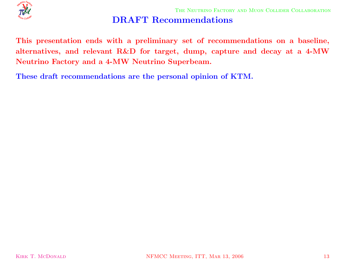![](_page_12_Picture_0.jpeg)

# **DRAFT Recommendations**

This presentation ends with a preliminary set of recommendations on a baseline, alternatives, and relevant R&D for target, dump, capture and decay at a 4-MW **Neutrino Factory and <sup>a</sup> 4-MW Neutrino Superbeam.**

**These draft recommendations are the personal opinion of KTM.**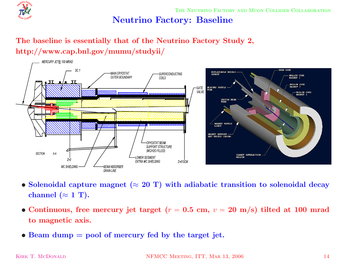![](_page_13_Picture_0.jpeg)

THE NEUTRINO FACTORY AND MUON COLLIDER COLLABORATION

#### **Neutrino Factory: Baseline**

#### **The baseline is essentially that of the Neutrino Factory Study 2, http://www.cap.bnl.gov/mumu/studyii/**

![](_page_13_Figure_4.jpeg)

- $\bullet$  Solenoidal capture magnet ( $\approx 20$  T) with adiabatic transition to solenoidal decay  $\bf{channel}\ (\approx 1\ T).$
- Continuous, free mercury jet target ( $r = 0.5$  cm,  $v = 20$  m/s) tilted at 100 mrad **to magnetic axis.**
- *•* **Beam dump <sup>=</sup> pool of mercury fed by the target jet.**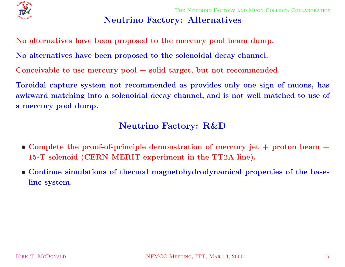![](_page_14_Picture_0.jpeg)

THE NEUTRINO FACTORY AND MUON COLLIDER COLLABORATION

#### **Neutrino Factory: Alternatives**

**No alternatives have been proposed to the mercury pool beam dump.**

**No alternatives have been proposed to the solenoidal decay channel.**

**Conceivable to use mercury pool + solid target, but not recommended.**

Toroidal capture system not recommended as provides only one sign of muons, has awkward matching into a solenoidal decay channel, and is not well matched to use of **<sup>a</sup> mercury pool dump.**

#### **Neutrino Factory: R&D**

- Complete the proof-of-principle demonstration of mercury jet  $+$  proton beam  $+$ **15-T solenoid (CERN MERIT experiment in the TT2A line).**
- *•* **Continue simulations of thermal magnetohydrodynamical properties of the baseline system.**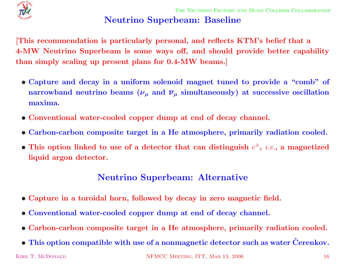![](_page_15_Picture_0.jpeg)

# **Neutrino Superbeam: Baseline**

This recommendation is particularly personal, and reflects KTM's belief that a 4-MW Neutrino Superbeam is some ways off, and should provide better capability **than simply scaling up present <sup>p</sup>lans for 0.4-MW beams.]**

- Capture and decay in a uniform solenoid magnet tuned to provide a "comb" of  ${\bf p}$   ${\bf p}$   ${\bf p}$   ${\bf p}$   ${\bf p}$   ${\bf p}$   ${\bf p}$   ${\bf p}$   ${\bf p}$   ${\bf p}$   ${\bf p}$   ${\bf p}$   ${\bf p}$   ${\bf p}$   ${\bf p}$   ${\bf p}$   ${\bf p}$   ${\bf p}$   ${\bf p}$   ${\bf p}$   ${\bf p}$   ${\bf p}$   ${\bf p}$   ${\bf p}$   ${\bf p}$   ${\bf p}$   ${\bf p}$   ${\bf p}$   ${\bf p}$   ${\bf p}$   ${\bf p}$   ${\bf p$ **maxima.**
- *•* **Conventional water-cooled copper dump at end of decay channel.**
- Carbon-carbon composite target in a He atmosphere, primarily radiation cooled.
- This option linked to use of a detector that can distinguish  $e^{\pm}$ , *i.e.*, a magnetized **liquid argon detector.**

#### **Neutrino Superbeam: Alternative**

- Capture in a toroidal horn, followed by decay in zero magnetic field.
- *•* **Conventional water-cooled copper dump at end of decay channel.**
- Carbon-carbon composite target in a He atmosphere, primarily radiation cooled.
- $\bullet$  This option compatible with use of a nonmagnetic detector such as water Čerenkov.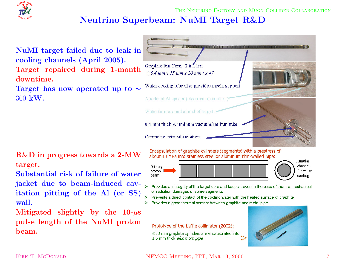# **Neutrino Superbeam: NuMI Target R&D**

![](_page_16_Picture_2.jpeg)

**NuMI target failed due to leak in cooling channels (April 2005). Target repaired during 1-month downtime.**

 $\bm{\Gamma}$ arget has now operated up to  $\sim$ 300 **kW.**

**R&D in progress towards <sup>a</sup> 2-MW target.**

**Substantial risk of failure of water jacket due to beam-induced cavitation <sup>p</sup>itting of the Al (or SS) wall.**

 ${\bf Miltigated}$   ${\bf slightly}$   ${\bf by}$   ${\bf the}$   ${\bf 10}\text{-}\mu{\bf s}$ **pulse length of the NuMI proton beam.**

![](_page_16_Figure_8.jpeg)

Encapsulation of graphite cylinders (segments) with a prestress of about 10 MPa into stainless steel or aluminum thin-walled pipe:

![](_page_16_Figure_10.jpeg)

- Provides an integrity of the target core and keeps it even in the case of thermo-mechanical or radiation damages of some segments
- Prevents a direct contact of the cooling water with the heated surface of graphite
- Provides a good thermal contact between graphite and metal pipe  $\blacktriangleright$

Prototype of the baffle collimator (2002):

 $\varnothing$ 58 mm graphite cylinders are encapsulated into 1.5 mm thick aluminum pipe

![](_page_16_Picture_16.jpeg)